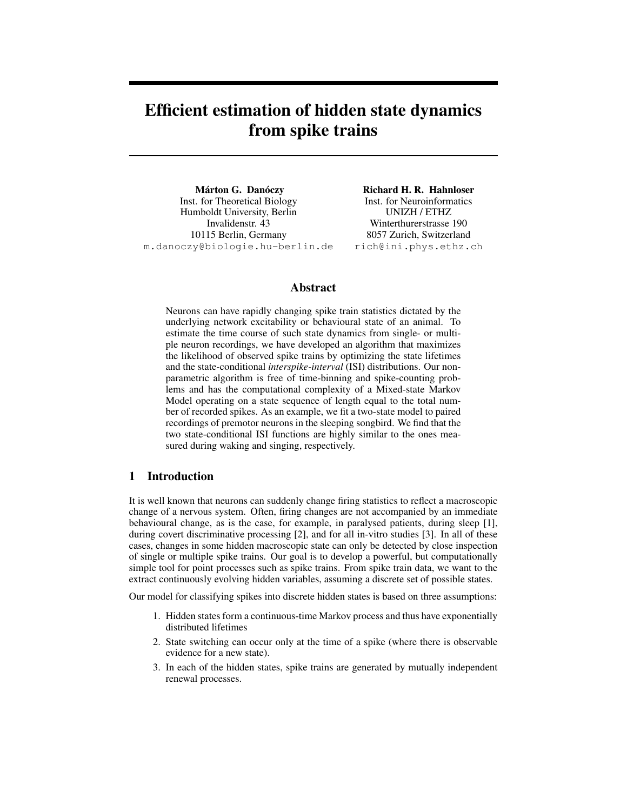# **Efficient estimation of hidden state dynamics from spike trains**

**Márton G. Danóczy** Inst. for Theoretical Biology Humboldt University, Berlin Invalidenstr. 43 10115 Berlin, Germany m.danoczy@biologie.hu-berlin.de

**Richard H. R. Hahnloser** Inst. for Neuroinformatics UNIZH / ETHZ Winterthurerstrasse 190 8057 Zurich, Switzerland rich@ini.phys.ethz.ch

# **Abstract**

Neurons can have rapidly changing spike train statistics dictated by the underlying network excitability or behavioural state of an animal. To estimate the time course of such state dynamics from single- or multiple neuron recordings, we have developed an algorithm that maximizes the likelihood of observed spike trains by optimizing the state lifetimes and the state-conditional *interspike-interval* (ISI) distributions. Our nonparametric algorithm is free of time-binning and spike-counting problems and has the computational complexity of a Mixed-state Markov Model operating on a state sequence of length equal to the total number of recorded spikes. As an example, we fit a two-state model to paired recordings of premotor neurons in the sleeping songbird. We find that the two state-conditional ISI functions are highly similar to the ones measured during waking and singing, respectively.

### **1 Introduction**

It is well known that neurons can suddenly change firing statistics to reflect a macroscopic change of a nervous system. Often, firing changes are not accompanied by an immediate behavioural change, as is the case, for example, in paralysed patients, during sleep [1], during covert discriminative processing [2], and for all in-vitro studies [3]. In all of these cases, changes in some hidden macroscopic state can only be detected by close inspection of single or multiple spike trains. Our goal is to develop a powerful, but computationally simple tool for point processes such as spike trains. From spike train data, we want to the extract continuously evolving hidden variables, assuming a discrete set of possible states.

Our model for classifying spikes into discrete hidden states is based on three assumptions:

- 1. Hidden states form a continuous-time Markov process and thus have exponentially distributed lifetimes
- 2. State switching can occur only at the time of a spike (where there is observable evidence for a new state).
- 3. In each of the hidden states, spike trains are generated by mutually independent renewal processes.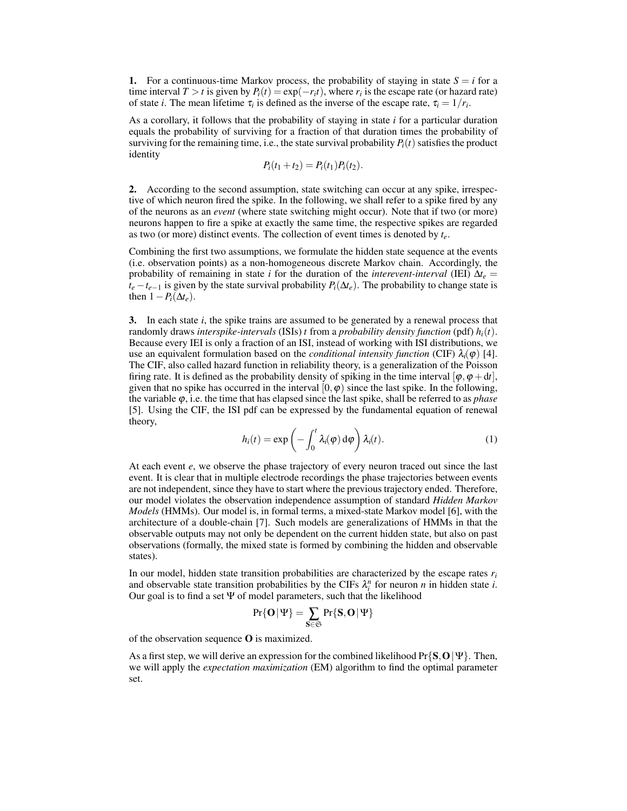**1.** For a continuous-time Markov process, the probability of staying in state  $S = i$  for a time interval *T* > *t* is given by  $P_i(t) = \exp(-r_i t)$ , where  $r_i$  is the escape rate (or hazard rate) of state *i*. The mean lifetime  $\tau_i$  is defined as the inverse of the escape rate,  $\tau_i = 1/r_i$ .

As a corollary, it follows that the probability of staying in state *i* for a particular duration equals the probability of surviving for a fraction of that duration times the probability of surviving for the remaining time, i.e., the state survival probability  $P_i(t)$  satisfies the product identity

$$
P_i(t_1+t_2) = P_i(t_1)P_i(t_2).
$$

**2.** According to the second assumption, state switching can occur at any spike, irrespective of which neuron fired the spike. In the following, we shall refer to a spike fired by any of the neurons as an *event* (where state switching might occur). Note that if two (or more) neurons happen to fire a spike at exactly the same time, the respective spikes are regarded as two (or more) distinct events. The collection of event times is denoted by *te*.

Combining the first two assumptions, we formulate the hidden state sequence at the events (i.e. observation points) as a non-homogeneous discrete Markov chain. Accordingly, the probability of remaining in state *i* for the duration of the *interevent-interval* (IEI)  $\Delta t_e$  =  $t_e - t_{e-1}$  is given by the state survival probability *P*<sub>*i*</sub>( $\Delta t_e$ ). The probability to change state is then  $1 - P_i(\Delta t_e)$ .

**3.** In each state *i*, the spike trains are assumed to be generated by a renewal process that randomly draws *interspike-intervals* (ISIs)  $t$  from a *probability density function* (pdf)  $h_i(t)$ . Because every IEI is only a fraction of an ISI, instead of working with ISI distributions, we use an equivalent formulation based on the *conditional intensity function* (CIF)  $\lambda_i(\varphi)$  [4]. The CIF, also called hazard function in reliability theory, is a generalization of the Poisson firing rate. It is defined as the probability density of spiking in the time interval  $[\varphi, \varphi + dt]$ , given that no spike has occurred in the interval  $[0, \varphi)$  since the last spike. In the following, the variable  $\varphi$ , i.e. the time that has elapsed since the last spike, shall be referred to as *phase* [5]. Using the CIF, the ISI pdf can be expressed by the fundamental equation of renewal theory,

$$
h_i(t) = \exp\left(-\int_0^t \lambda_i(\varphi) \,d\varphi\right) \lambda_i(t).
$$
 (1)

At each event *e*, we observe the phase trajectory of every neuron traced out since the last event. It is clear that in multiple electrode recordings the phase trajectories between events are not independent, since they have to start where the previous trajectory ended. Therefore, our model violates the observation independence assumption of standard *Hidden Markov Models* (HMMs). Our model is, in formal terms, a mixed-state Markov model [6], with the architecture of a double-chain [7]. Such models are generalizations of HMMs in that the observable outputs may not only be dependent on the current hidden state, but also on past observations (formally, the mixed state is formed by combining the hidden and observable states).

In our model, hidden state transition probabilities are characterized by the escape rates  $r_i$ and observable state transition probabilities by the CIFs  $\lambda_i^n$  for neuron *n* in hidden state *i*. Our goal is to find a set  $\Psi$  of model parameters, such that the likelihood

$$
\text{Pr}\{O\,|\Psi\}=\sum_{S\in\mathfrak{S}}\text{Pr}\{S,O\,|\Psi\}
$$

of the observation sequence **O** is maximized.

As a first step, we will derive an expression for the combined likelihood Pr{**S**,**O**|Ψ}. Then, we will apply the *expectation maximization* (EM) algorithm to find the optimal parameter set.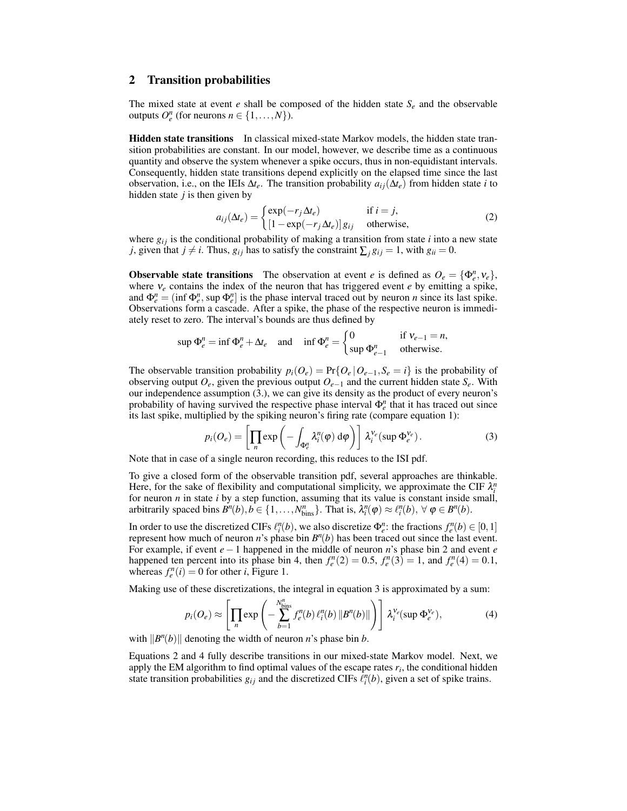#### **2 Transition probabilities**

The mixed state at event  $e$  shall be composed of the hidden state  $S_e$  and the observable outputs  $O_e^n$  (for neurons  $n \in \{1, ..., N\}$ ).

**Hidden state transitions** In classical mixed-state Markov models, the hidden state transition probabilities are constant. In our model, however, we describe time as a continuous quantity and observe the system whenever a spike occurs, thus in non-equidistant intervals. Consequently, hidden state transitions depend explicitly on the elapsed time since the last observation, i.e., on the IEIs  $\Delta t_e$ . The transition probability  $a_{ij}(\Delta t_e)$  from hidden state *i* to hidden state *j* is then given by

$$
a_{ij}(\Delta t_e) = \begin{cases} \exp(-r_j \Delta t_e) & \text{if } i = j, \\ \left[1 - \exp(-r_j \Delta t_e)\right] g_{ij} & \text{otherwise,} \end{cases}
$$
 (2)

where  $g_{ij}$  is the conditional probability of making a transition from state *i* into a new state *j*, given that *j*  $\neq$  *i*. Thus,  $g_{ij}$  has to satisfy the constraint  $\sum_{i} g_{ij} = 1$ , with  $g_{ii} = 0$ .

**Observable state transitions** The observation at event *e* is defined as  $O_e = {\Phi_e^n, \nu_e},$ where <sup>ν</sup>*<sup>e</sup>* contains the index of the neuron that has triggered event *e* by emitting a spike, and  $\Phi_e^n = (\inf \Phi_e^n, \sup \Phi_e^n]$  is the phase interval traced out by neuron *n* since its last spike. Observations form a cascade. After a spike, the phase of the respective neuron is immediately reset to zero. The interval's bounds are thus defined by

$$
\sup \Phi_e^n = \inf \Phi_e^n + \Delta t_e \quad \text{and} \quad \inf \Phi_e^n = \begin{cases} 0 & \text{if } \mathsf{V}_{e-1} = n, \\ \sup \Phi_{e-1}^n & \text{otherwise.} \end{cases}
$$

The observable transition probability  $p_i(O_e) = Pr\{O_e | O_{e-1}, S_e = i\}$  is the probability of observing output *Oe*, given the previous output *Oe*−<sup>1</sup> and the current hidden state *Se*. With our independence assumption (3.), we can give its density as the product of every neuron's probability of having survived the respective phase interval  $\Phi_e^n$  that it has traced out since its last spike, multiplied by the spiking neuron's firing rate (compare equation 1):

$$
p_i(O_e) = \left[ \prod_n \exp\left( - \int_{\Phi_e^n} \lambda_i^n(\varphi) \, \mathrm{d}\varphi \right) \right] \, \lambda_i^{V_e}(\sup \Phi_e^{V_e}). \tag{3}
$$

Note that in case of a single neuron recording, this reduces to the ISI pdf.

To give a closed form of the observable transition pdf, several approaches are thinkable. Here, for the sake of flexibility and computational simplicity, we approximate the CIF  $\lambda_i^n$ for neuron *n* in state *i* by a step function, assuming that its value is constant inside small, arbitrarily spaced bins  $B^n(b), b \in \{1, ..., N^n_{bins}\}$ . That is,  $\lambda_i^n(\varphi) \approx \ell_i^n(b), \forall \varphi \in B^n(b)$ .

In order to use the discretized CIFs  $\ell_i^n(b)$ , we also discretize  $\Phi_e^n$ : the fractions  $f_e^n(b) \in [0,1]$ represent how much of neuron *n*'s phase bin  $B<sup>n</sup>(b)$  has been traced out since the last event. For example, if event *e*−1 happened in the middle of neuron *n*'s phase bin 2 and event *e* happened ten percent into its phase bin 4, then  $f_e^n(2) = 0.5$ ,  $f_e^n(3) = 1$ , and  $f_e^n(4) = 0.1$ , whereas  $f_e^n(i) = 0$  for other *i*, Figure 1.

Making use of these discretizations, the integral in equation 3 is approximated by a sum:

$$
p_i(O_e) \approx \left[ \prod_n \exp \left( - \sum_{b=1}^{N_{\text{bins}}^n} f_e^n(b) \ell_i^n(b) \| B^n(b) \| \right) \right] \lambda_i^{V_e}(\sup \Phi_e^{V_e}), \tag{4}
$$

with  $\|B^n(b)\|$  denoting the width of neuron *n*'s phase bin *b*.

Equations 2 and 4 fully describe transitions in our mixed-state Markov model. Next, we apply the EM algorithm to find optimal values of the escape rates *r<sup>i</sup>* , the conditional hidden state transition probabilities  $g_{ij}$  and the discretized CIFs  $\hat{\ell}_i^n(b)$ , given a set of spike trains.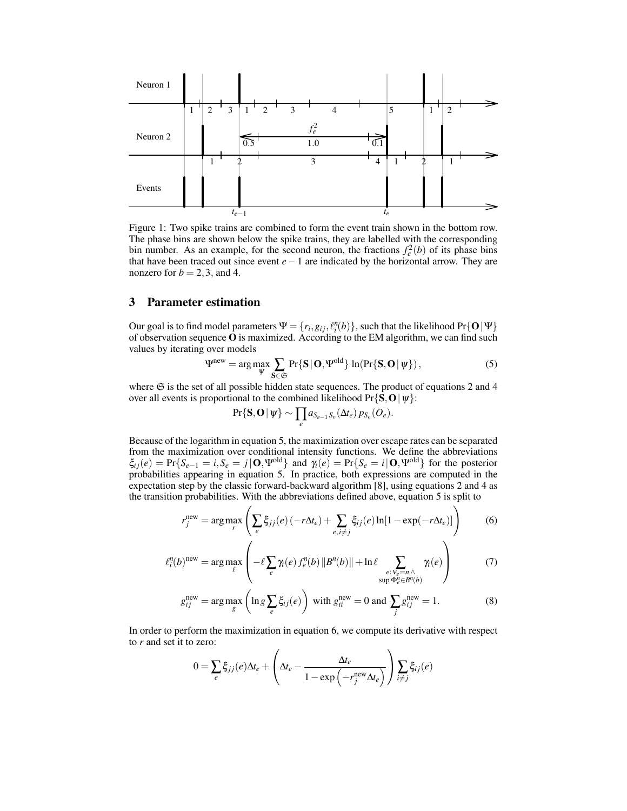

Figure 1: Two spike trains are combined to form the event train shown in the bottom row. The phase bins are shown below the spike trains, they are labelled with the corresponding bin number. As an example, for the second neuron, the fractions  $f_e^2(b)$  of its phase bins that have been traced out since event *e*−1 are indicated by the horizontal arrow. They are nonzero for  $b = 2, 3$ , and 4.

#### **3 Parameter estimation**

Our goal is to find model parameters  $\Psi = \{r_i, g_{ij}, \ell_i^n(b)\}$ , such that the likelihood Pr{ $O|\Psi\}$ of observation sequence **O** is maximized. According to the EM algorithm, we can find such values by iterating over models

$$
\Psi^{\text{new}} = \arg \max_{\Psi} \sum_{\mathbf{S} \in \mathfrak{S}} \Pr\{\mathbf{S} \,|\, \mathbf{O}, \Psi^{\text{old}}\} \ln(\Pr\{\mathbf{S}, \mathbf{O} \,|\, \psi\}),\tag{5}
$$

where  $\mathfrak S$  is the set of all possible hidden state sequences. The product of equations 2 and 4 over all events is proportional to the combined likelihood  $Pr\{S, O | \psi\}$ :

$$
\Pr\{\mathbf{S},\mathbf{O}|\,\psi\}\sim \prod_{e} a_{S_{e-1}S_e}(\Delta t_e) \,p_{S_e}(O_e).
$$

Because of the logarithm in equation 5, the maximization over escape rates can be separated from the maximization over conditional intensity functions. We define the abbreviations  $\xi_{ij}(e) = \Pr\{S_{e-1} = i, S_e = j | \mathbf{O}, \Psi^{\text{old}}\}\$  and  $\gamma_i(e) = \Pr\{S_e = i | \mathbf{O}, \Psi^{\text{old}}\}\$  for the posterior probabilities appearing in equation 5. In practice, both expressions are computed in the expectation step by the classic forward-backward algorithm [8], using equations 2 and 4 as the transition probabilities. With the abbreviations defined above, equation 5 is split to

$$
r_j^{\text{new}} = \arg \max_r \left( \sum_e \xi_{jj}(e) \left( -r \Delta t_e \right) + \sum_{e, i \neq j} \xi_{ij}(e) \ln[1 - \exp(-r \Delta t_e)] \right) \tag{6}
$$

$$
\ell_i^n(b)^{\text{new}} = \arg \max_{\ell} \left( -\ell \sum_{e} \gamma_i(e) f_e^n(b) \|B^n(b)\| + \ln \ell \sum_{\substack{e:\, \mathcal{V}_e = n \wedge \\ \sup \Phi_e^n \in B^n(b)}} \gamma_i(e) \right) \tag{7}
$$

$$
g_{ij}^{\text{new}} = \arg \max_{g} \left( \ln g \sum_{e} \xi_{ij}(e) \right) \text{ with } g_{ii}^{\text{new}} = 0 \text{ and } \sum_{j} g_{ij}^{\text{new}} = 1. \tag{8}
$$

In order to perform the maximization in equation 6, we compute its derivative with respect to *r* and set it to zero:

$$
0 = \sum_{e} \xi_{jj}(e) \Delta t_e + \left( \Delta t_e - \frac{\Delta t_e}{1 - \exp\left(-r_j^{\text{new}} \Delta t_e\right)} \right) \sum_{i \neq j} \xi_{ij}(e)
$$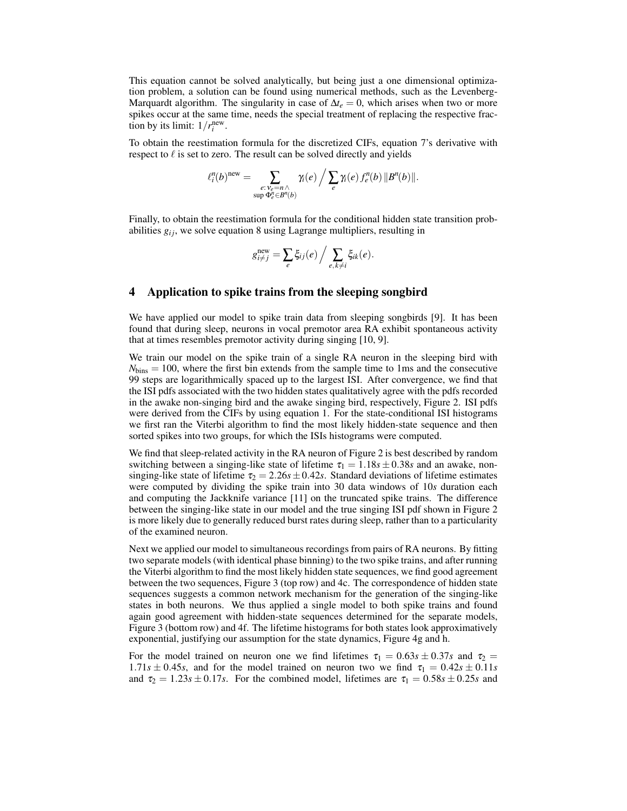This equation cannot be solved analytically, but being just a one dimensional optimization problem, a solution can be found using numerical methods, such as the Levenberg-Marquardt algorithm. The singularity in case of  $\Delta t_e = 0$ , which arises when two or more spikes occur at the same time, needs the special treatment of replacing the respective fraction by its limit:  $1/r_i^{\text{new}}$ .

To obtain the reestimation formula for the discretized CIFs, equation 7's derivative with respect to  $\ell$  is set to zero. The result can be solved directly and yields

$$
\ell_i^n(b)^{\text{new}} = \sum_{\substack{e: \nu_e = n \wedge \\ \text{sup } \Phi_e^n \in B^n(b)}} \gamma_i(e) \bigg/ \sum_e \gamma_i(e) \, f_e^n(b) \, \|B^n(b)\|.
$$

Finally, to obtain the reestimation formula for the conditional hidden state transition probabilities  $g_{ij}$ , we solve equation 8 using Lagrange multipliers, resulting in

$$
g_{i \neq j}^{\text{new}} = \sum_{e} \xi_{ij}(e) / \sum_{e, k \neq i} \xi_{ik}(e).
$$

#### **4 Application to spike trains from the sleeping songbird**

We have applied our model to spike train data from sleeping songbirds [9]. It has been found that during sleep, neurons in vocal premotor area RA exhibit spontaneous activity that at times resembles premotor activity during singing [10, 9].

We train our model on the spike train of a single RA neuron in the sleeping bird with  $N_{\text{bins}} = 100$ , where the first bin extends from the sample time to 1ms and the consecutive 99 steps are logarithmically spaced up to the largest ISI. After convergence, we find that the ISI pdfs associated with the two hidden states qualitatively agree with the pdfs recorded in the awake non-singing bird and the awake singing bird, respectively, Figure 2. ISI pdfs were derived from the CIFs by using equation 1. For the state-conditional ISI histograms we first ran the Viterbi algorithm to find the most likely hidden-state sequence and then sorted spikes into two groups, for which the ISIs histograms were computed.

We find that sleep-related activity in the RA neuron of Figure 2 is best described by random switching between a singing-like state of lifetime  $\tau_1 = 1.18s \pm 0.38s$  and an awake, nonsinging-like state of lifetime  $\tau_2 = 2.26s \pm 0.42s$ . Standard deviations of lifetime estimates were computed by dividing the spike train into 30 data windows of 10*s* duration each and computing the Jackknife variance [11] on the truncated spike trains. The difference between the singing-like state in our model and the true singing ISI pdf shown in Figure 2 is more likely due to generally reduced burst rates during sleep, rather than to a particularity of the examined neuron.

Next we applied our model to simultaneous recordings from pairs of RA neurons. By fitting two separate models (with identical phase binning) to the two spike trains, and after running the Viterbi algorithm to find the most likely hidden state sequences, we find good agreement between the two sequences, Figure 3 (top row) and 4c. The correspondence of hidden state sequences suggests a common network mechanism for the generation of the singing-like states in both neurons. We thus applied a single model to both spike trains and found again good agreement with hidden-state sequences determined for the separate models, Figure 3 (bottom row) and 4f. The lifetime histograms for both states look approximatively exponential, justifying our assumption for the state dynamics, Figure 4g and h.

For the model trained on neuron one we find lifetimes  $\tau_1 = 0.63s \pm 0.37s$  and  $\tau_2 =$  $1.71s \pm 0.45s$ , and for the model trained on neuron two we find  $\tau_1 = 0.42s \pm 0.11s$ and  $\tau_2 = 1.23s \pm 0.17s$ . For the combined model, lifetimes are  $\tau_1 = 0.58s \pm 0.25s$  and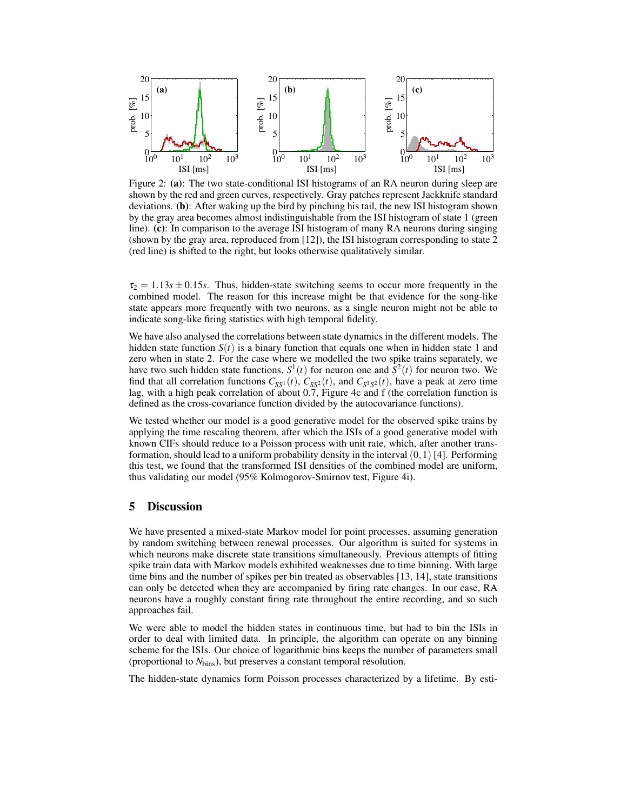

Figure 2: **(a)**: The two state-conditional ISI histograms of an RA neuron during sleep are shown by the red and green curves, respectively. Gray patches represent Jackknife standard deviations. **(b)**: After waking up the bird by pinching his tail, the new ISI histogram shown by the gray area becomes almost indistinguishable from the ISI histogram of state 1 (green line). **(c)**: In comparison to the average ISI histogram of many RA neurons during singing (shown by the gray area, reproduced from [12]), the ISI histogram corresponding to state 2 (red line) is shifted to the right, but looks otherwise qualitatively similar.

 $\tau_2 = 1.13s \pm 0.15s$ . Thus, hidden-state switching seems to occur more frequently in the combined model. The reason for this increase might be that evidence for the song-like state appears more frequently with two neurons, as a single neuron might not be able to indicate song-like firing statistics with high temporal fidelity.

We have also analysed the correlations between state dynamics in the different models. The hidden state function  $S(t)$  is a binary function that equals one when in hidden state 1 and zero when in state 2. For the case where we modelled the two spike trains separately, we have two such hidden state functions,  $S^1(t)$  for neuron one and  $\tilde{S}^2(t)$  for neuron two. We find that all correlation functions  $C_{SS^1}(t)$ ,  $C_{SS^2}(t)$ , and  $C_{S^1S^2}(t)$ , have a peak at zero time lag, with a high peak correlation of about 0.7, Figure 4c and f (the correlation function is defined as the cross-covariance function divided by the autocovariance functions).

We tested whether our model is a good generative model for the observed spike trains by applying the time rescaling theorem, after which the ISIs of a good generative model with known CIFs should reduce to a Poisson process with unit rate, which, after another transformation, should lead to a uniform probability density in the interval  $(0,1)$  [4]. Performing this test, we found that the transformed ISI densities of the combined model are uniform, thus validating our model (95% Kolmogorov-Smirnov test, Figure 4i).

# **5 Discussion**

We have presented a mixed-state Markov model for point processes, assuming generation by random switching between renewal processes. Our algorithm is suited for systems in which neurons make discrete state transitions simultaneously. Previous attempts of fitting spike train data with Markov models exhibited weaknesses due to time binning. With large time bins and the number of spikes per bin treated as observables [13, 14], state transitions can only be detected when they are accompanied by firing rate changes. In our case, RA neurons have a roughly constant firing rate throughout the entire recording, and so such approaches fail.

We were able to model the hidden states in continuous time, but had to bin the ISIs in order to deal with limited data. In principle, the algorithm can operate on any binning scheme for the ISIs. Our choice of logarithmic bins keeps the number of parameters small (proportional to *N*bins), but preserves a constant temporal resolution.

The hidden-state dynamics form Poisson processes characterized by a lifetime. By esti-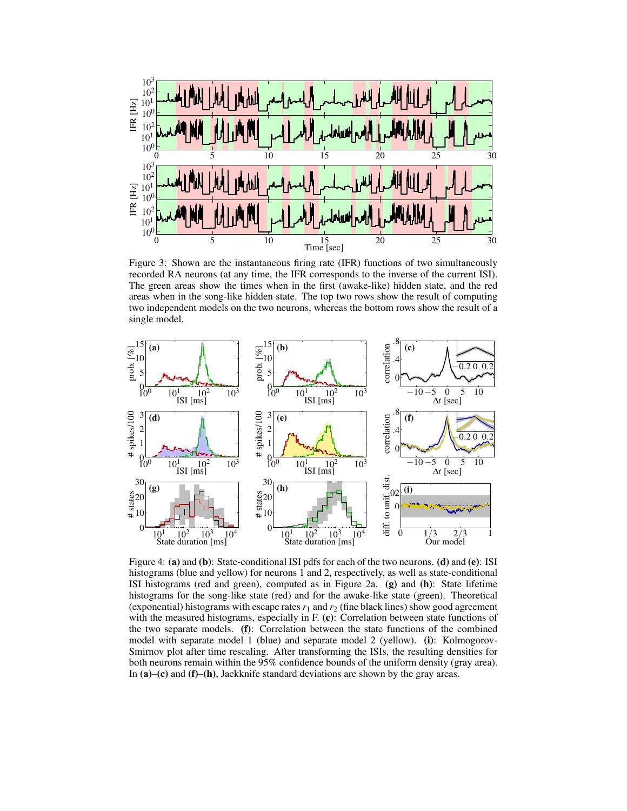

Figure 3: Shown are the instantaneous firing rate (IFR) functions of two simultaneously recorded RA neurons (at any time, the IFR corresponds to the inverse of the current ISI). The green areas show the times when in the first (awake-like) hidden state, and the red areas when in the song-like hidden state. The top two rows show the result of computing two independent models on the two neurons, whereas the bottom rows show the result of a single model.



Figure 4: **(a)** and **(b)**: State-conditional ISI pdfs for each of the two neurons. **(d)** and **(e)**: ISI histograms (blue and yellow) for neurons 1 and 2, respectively, as well as state-conditional ISI histograms (red and green), computed as in Figure 2a. **(g)** and **(h)**: State lifetime histograms for the song-like state (red) and for the awake-like state (green). Theoretical (exponential) histograms with escape rates  $r_1$  and  $r_2$  (fine black lines) show good agreement with the measured histograms, especially in F. **(c)**: Correlation between state functions of the two separate models. **(f)**: Correlation between the state functions of the combined model with separate model 1 (blue) and separate model 2 (yellow). **(i)**: Kolmogorov-Smirnov plot after time rescaling. After transforming the ISIs, the resulting densities for both neurons remain within the 95% confidence bounds of the uniform density (gray area). In **(a)**–**(c)** and **(f)**–**(h)**, Jackknife standard deviations are shown by the gray areas.